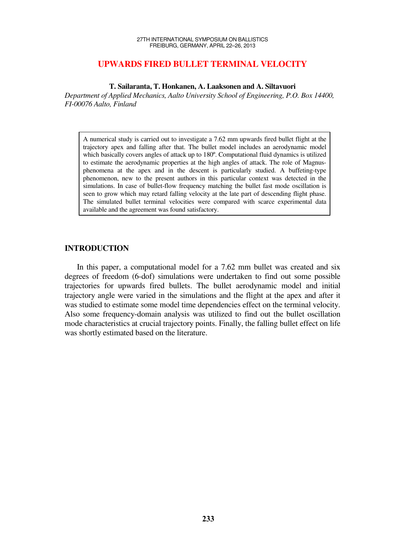# **UPWARDS FIRED BULLET TERMINAL VELOCITY**

**T. Sailaranta, T. Honkanen, A. Laaksonen and A. Siltavuori** 

*Department of Applied Mechanics, Aalto University School of Engineering, P.O. Box 14400, FI-00076 Aalto, Finland* 

A numerical study is carried out to investigate a 7.62 mm upwards fired bullet flight at the trajectory apex and falling after that. The bullet model includes an aerodynamic model which basically covers angles of attack up to 180º. Computational fluid dynamics is utilized to estimate the aerodynamic properties at the high angles of attack. The role of Magnusphenomena at the apex and in the descent is particularly studied. A buffeting-type phenomenon, new to the present authors in this particular context was detected in the simulations. In case of bullet-flow frequency matching the bullet fast mode oscillation is seen to grow which may retard falling velocity at the late part of descending flight phase. The simulated bullet terminal velocities were compared with scarce experimental data available and the agreement was found satisfactory.

# **INTRODUCTION**

In this paper, a computational model for a 7.62 mm bullet was created and six degrees of freedom (6-dof) simulations were undertaken to find out some possible trajectories for upwards fired bullets. The bullet aerodynamic model and initial trajectory angle were varied in the simulations and the flight at the apex and after it was studied to estimate some model time dependencies effect on the terminal velocity. Also some frequency-domain analysis was utilized to find out the bullet oscillation mode characteristics at crucial trajectory points. Finally, the falling bullet effect on life was shortly estimated based on the literature.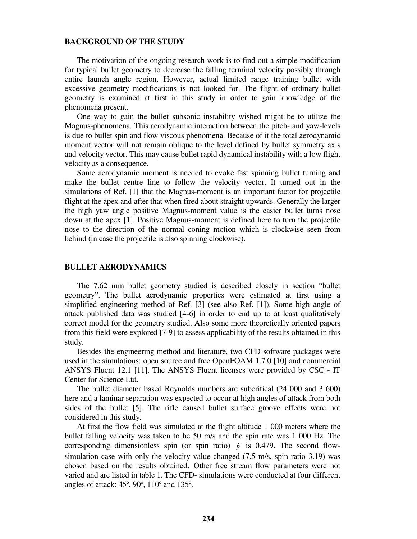## **BACKGROUND OF THE STUDY**

The motivation of the ongoing research work is to find out a simple modification for typical bullet geometry to decrease the falling terminal velocity possibly through entire launch angle region. However, actual limited range training bullet with excessive geometry modifications is not looked for. The flight of ordinary bullet geometry is examined at first in this study in order to gain knowledge of the phenomena present.

One way to gain the bullet subsonic instability wished might be to utilize the Magnus-phenomena. This aerodynamic interaction between the pitch- and yaw-levels is due to bullet spin and flow viscous phenomena. Because of it the total aerodynamic moment vector will not remain oblique to the level defined by bullet symmetry axis and velocity vector. This may cause bullet rapid dynamical instability with a low flight velocity as a consequence.

Some aerodynamic moment is needed to evoke fast spinning bullet turning and make the bullet centre line to follow the velocity vector. It turned out in the simulations of Ref. [1] that the Magnus-moment is an important factor for projectile flight at the apex and after that when fired about straight upwards. Generally the larger the high yaw angle positive Magnus-moment value is the easier bullet turns nose down at the apex [1]. Positive Magnus-moment is defined here to turn the projectile nose to the direction of the normal coning motion which is clockwise seen from behind (in case the projectile is also spinning clockwise).

#### **BULLET AERODYNAMICS**

The 7.62 mm bullet geometry studied is described closely in section "bullet geometry". The bullet aerodynamic properties were estimated at first using a simplified engineering method of Ref. [3] (see also Ref. [1]). Some high angle of attack published data was studied [4-6] in order to end up to at least qualitatively correct model for the geometry studied. Also some more theoretically oriented papers from this field were explored [7-9] to assess applicability of the results obtained in this study.

Besides the engineering method and literature, two CFD software packages were used in the simulations: open source and free OpenFOAM 1.7.0 [10] and commercial ANSYS Fluent 12.1 [11]. The ANSYS Fluent licenses were provided by CSC - IT Center for Science Ltd.

The bullet diameter based Reynolds numbers are subcritical (24 000 and 3 600) here and a laminar separation was expected to occur at high angles of attack from both sides of the bullet [5]. The rifle caused bullet surface groove effects were not considered in this study.

At first the flow field was simulated at the flight altitude 1 000 meters where the bullet falling velocity was taken to be 50 m/s and the spin rate was 1 000 Hz. The corresponding dimensionless spin (or spin ratio)  $\hat{p}$  is 0.479. The second flowsimulation case with only the velocity value changed (7.5 m/s, spin ratio 3.19) was chosen based on the results obtained. Other free stream flow parameters were not varied and are listed in table 1. The CFD- simulations were conducted at four different angles of attack: 45º, 90º, 110º and 135º.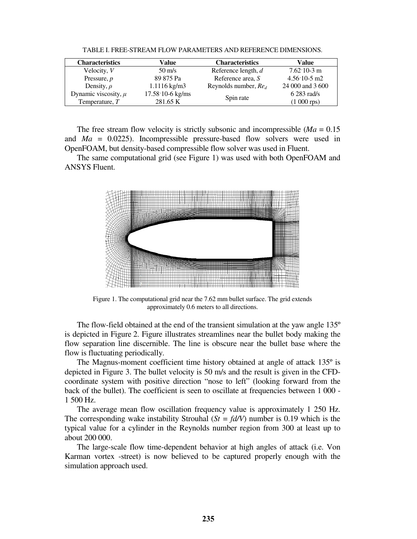| <b>Characteristics</b>   | Value                    | <b>Characteristics</b> | Value                          |
|--------------------------|--------------------------|------------------------|--------------------------------|
| Velocity, V              | $50 \text{ m/s}$         | Reference length, d    | $7.62 \cdot 10 - 3 \text{ m}$  |
| Pressure, $p$            | 89 875 Pa                | Reference area, S      | $4.56 \cdot 10 - 5 \text{ m2}$ |
| Density, $\rho$          | $1.1116 \text{ kg/m}$    | Reynolds number, $Red$ | 24 000 and 3 600               |
| Dynamic viscosity, $\mu$ | $17.58 \cdot 10-6$ kg/ms | Spin rate              | $6283$ rad/s                   |
| Temperature, $T$         | 281.65 K                 |                        | $(1\ 000\ \text{rps})$         |

TABLE I. FREE-STREAM FLOW PARAMETERS AND REFERENCE DIMENSIONS.

The free stream flow velocity is strictly subsonic and incompressible  $(Ma = 0.15)$ and *Ma* = 0.0225). Incompressible pressure-based flow solvers were used in OpenFOAM, but density-based compressible flow solver was used in Fluent.

The same computational grid (see Figure 1) was used with both OpenFOAM and ANSYS Fluent.



Figure 1. The computational grid near the 7.62 mm bullet surface. The grid extends approximately 0.6 meters to all directions.

The flow-field obtained at the end of the transient simulation at the yaw angle 135º is depicted in Figure 2. Figure illustrates streamlines near the bullet body making the flow separation line discernible. The line is obscure near the bullet base where the flow is fluctuating periodically.

The Magnus-moment coefficient time history obtained at angle of attack 135º is depicted in Figure 3. The bullet velocity is 50 m/s and the result is given in the CFDcoordinate system with positive direction "nose to left" (looking forward from the back of the bullet). The coefficient is seen to oscillate at frequencies between 1 000 - 1 500 Hz.

The average mean flow oscillation frequency value is approximately 1 250 Hz. The corresponding wake instability Strouhal  $(St = fd/V)$  number is 0.19 which is the typical value for a cylinder in the Reynolds number region from 300 at least up to about 200 000.

The large-scale flow time-dependent behavior at high angles of attack (i.e. Von Karman vortex -street) is now believed to be captured properly enough with the simulation approach used.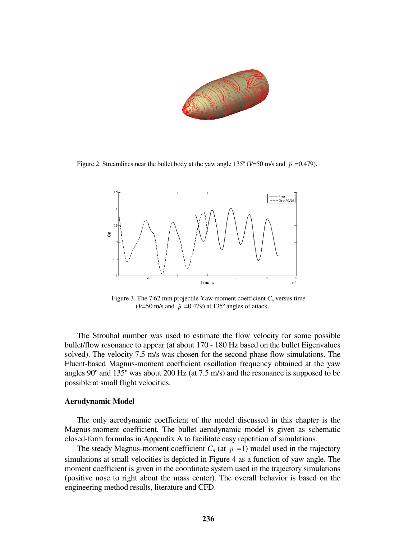

Figure 2. Streamlines near the bullet body at the yaw angle  $135^{\circ}$  (*V*=50 m/s and  $\hat{p}$  =0.479).



Figure 3. The 7.62 mm projectile Yaw moment coefficient  $C<sub>n</sub>$  versus time ( $V=50$  m/s and  $\hat{p} = 0.479$ ) at 135° angles of attack.

The Strouhal number was used to estimate the flow velocity for some possible bullet/flow resonance to appear (at about 170 - 180 Hz based on the bullet Eigenvalues solved). The velocity 7.5 m/s was chosen for the second phase flow simulations. The Fluent-based Magnus-moment coefficient oscillation frequency obtained at the yaw angles 90º and 135º was about 200 Hz (at 7.5 m/s) and the resonance is supposed to be possible at small flight velocities.

#### **Aerodynamic Model**

The only aerodynamic coefficient of the model discussed in this chapter is the Magnus-moment coefficient. The bullet aerodynamic model is given as schematic closed-form formulas in Appendix A to facilitate easy repetition of simulations.

The steady Magnus-moment coefficient  $C_n$  (at  $\hat{p} = 1$ ) model used in the trajectory simulations at small velocities is depicted in Figure 4 as a function of yaw angle. The moment coefficient is given in the coordinate system used in the trajectory simulations (positive nose to right about the mass center). The overall behavior is based on the engineering method results, literature and CFD.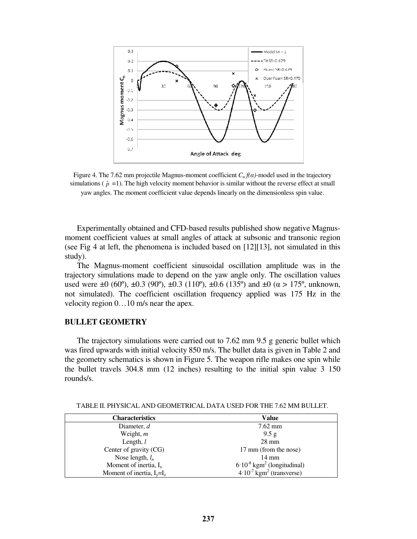

Figure 4. The 7.62 mm projectile Magnus-moment coefficient  $C_n f(\alpha)$ -model used in the trajectory simulations ( $\hat{p}$  =1). The high velocity moment behavior is similar without the reverse effect at small yaw angles. The moment coefficient value depends linearly on the dimensionless spin value.

Experimentally obtained and CFD-based results published show negative Magnusmoment coefficient values at small angles of attack at subsonic and transonic region (see Fig 4 at left, the phenomena is included based on [12][13], not simulated in this study).

The Magnus-moment coefficient sinusoidal oscillation amplitude was in the trajectory simulations made to depend on the yaw angle only. The oscillation values used were  $\pm 0$  (60°),  $\pm 0.3$  (90°),  $\pm 0.3$  (110°),  $\pm 0.6$  (135°) and  $\pm 0$  ( $\alpha > 175$ °, unknown, not simulated). The coefficient oscillation frequency applied was 175 Hz in the velocity region 0…10 m/s near the apex.

# **BULLET GEOMETRY**

The trajectory simulations were carried out to 7.62 mm 9.5 g generic bullet which was fired upwards with initial velocity 850 m/s. The bullet data is given in Table 2 and the geometry schematics is shown in Figure 5. The weapon rifle makes one spin while the bullet travels 304.8 mm (12 inches) resulting to the initial spin value 3 150 rounds/s.

| <b>Characteristics</b>       | Value                                       |
|------------------------------|---------------------------------------------|
| Diameter, $d$                | $7.62$ mm                                   |
| Weight, $m$                  | 9.5 g                                       |
| Length, $l$                  | $28 \text{ mm}$                             |
| Center of gravity (CG)       | 17 mm (from the nose)                       |
| Nose length, $l_n$           | $14 \text{ mm}$                             |
| Moment of inertia, $I_x$     | $6.10^{-8}$ kgm <sup>2</sup> (longitudinal) |
| Moment of inertia, $I_v=I_z$ | $4.10^{7}$ kgm <sup>2</sup> (transverse)    |

TABLE II. PHYSICAL AND GEOMETRICAL DATA USED FOR THE 7.62 MM BULLET.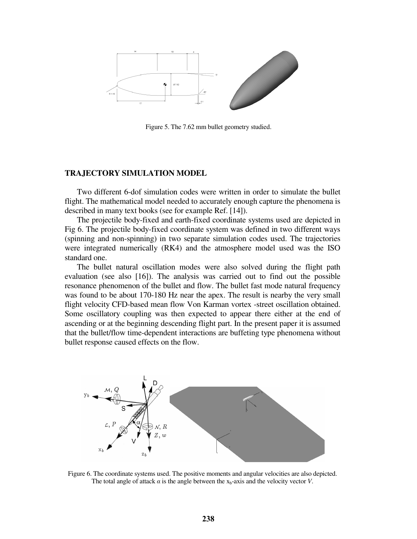

Figure 5. The 7.62 mm bullet geometry studied.

## **TRAJECTORY SIMULATION MODEL**

Two different 6-dof simulation codes were written in order to simulate the bullet flight. The mathematical model needed to accurately enough capture the phenomena is described in many text books (see for example Ref. [14]).

The projectile body-fixed and earth-fixed coordinate systems used are depicted in Fig 6. The projectile body-fixed coordinate system was defined in two different ways (spinning and non-spinning) in two separate simulation codes used. The trajectories were integrated numerically (RK4) and the atmosphere model used was the ISO standard one.

The bullet natural oscillation modes were also solved during the flight path evaluation (see also [16]). The analysis was carried out to find out the possible resonance phenomenon of the bullet and flow. The bullet fast mode natural frequency was found to be about 170-180 Hz near the apex. The result is nearby the very small flight velocity CFD-based mean flow Von Karman vortex -street oscillation obtained. Some oscillatory coupling was then expected to appear there either at the end of ascending or at the beginning descending flight part. In the present paper it is assumed that the bullet/flow time-dependent interactions are buffeting type phenomena without bullet response caused effects on the flow.



Figure 6. The coordinate systems used. The positive moments and angular velocities are also depicted. The total angle of attack  $\alpha$  is the angle between the  $x_b$ -axis and the velocity vector *V*.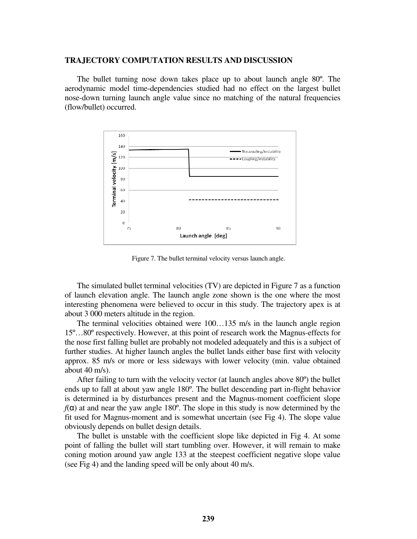#### **TRAJECTORY COMPUTATION RESULTS AND DISCUSSION**

The bullet turning nose down takes place up to about launch angle 80º. The aerodynamic model time-dependencies studied had no effect on the largest bullet nose-down turning launch angle value since no matching of the natural frequencies (flow/bullet) occurred.



Figure 7. The bullet terminal velocity versus launch angle.

The simulated bullet terminal velocities (TV) are depicted in Figure 7 as a function of launch elevation angle. The launch angle zone shown is the one where the most interesting phenomena were believed to occur in this study. The trajectory apex is at about 3 000 meters altitude in the region.

The terminal velocities obtained were 100…135 m/s in the launch angle region 15º…80º respectively. However, at this point of research work the Magnus-effects for the nose first falling bullet are probably not modeled adequately and this is a subject of further studies. At higher launch angles the bullet lands either base first with velocity approx. 85 m/s or more or less sideways with lower velocity (min. value obtained about 40 m/s).

After failing to turn with the velocity vector (at launch angles above 80º) the bullet ends up to fall at about yaw angle 180º. The bullet descending part in-flight behavior is determined ia by disturbances present and the Magnus-moment coefficient slope  $f(\alpha)$  at and near the yaw angle 180°. The slope in this study is now determined by the fit used for Magnus-moment and is somewhat uncertain (see Fig 4). The slope value obviously depends on bullet design details.

The bullet is unstable with the coefficient slope like depicted in Fig 4. At some point of falling the bullet will start tumbling over. However, it will remain to make coning motion around yaw angle 133 at the steepest coefficient negative slope value (see Fig 4) and the landing speed will be only about 40 m/s.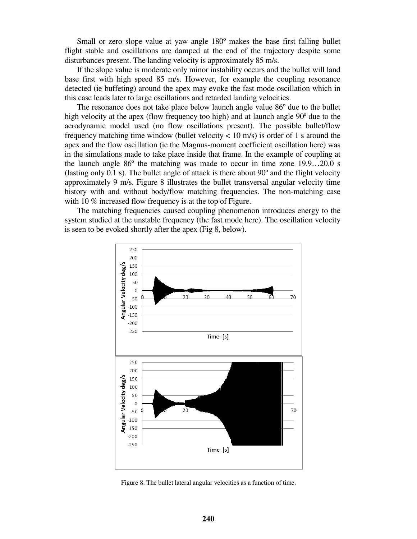Small or zero slope value at yaw angle 180º makes the base first falling bullet flight stable and oscillations are damped at the end of the trajectory despite some disturbances present. The landing velocity is approximately 85 m/s.

If the slope value is moderate only minor instability occurs and the bullet will land base first with high speed 85 m/s. However, for example the coupling resonance detected (ie buffeting) around the apex may evoke the fast mode oscillation which in this case leads later to large oscillations and retarded landing velocities.

The resonance does not take place below launch angle value 86º due to the bullet high velocity at the apex (flow frequency too high) and at launch angle 90º due to the aerodynamic model used (no flow oscillations present). The possible bullet/flow frequency matching time window (bullet velocity  $< 10$  m/s) is order of 1 s around the apex and the flow oscillation (ie the Magnus-moment coefficient oscillation here) was in the simulations made to take place inside that frame. In the example of coupling at the launch angle 86º the matching was made to occur in time zone 19.9…20.0 s (lasting only 0.1 s). The bullet angle of attack is there about 90º and the flight velocity approximately 9 m/s. Figure 8 illustrates the bullet transversal angular velocity time history with and without body/flow matching frequencies. The non-matching case with 10 % increased flow frequency is at the top of Figure.

The matching frequencies caused coupling phenomenon introduces energy to the system studied at the unstable frequency (the fast mode here). The oscillation velocity is seen to be evoked shortly after the apex (Fig 8, below).



Figure 8. The bullet lateral angular velocities as a function of time.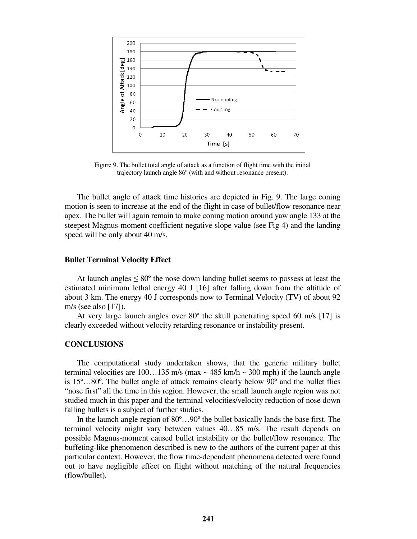

Figure 9. The bullet total angle of attack as a function of flight time with the initial trajectory launch angle 86º (with and without resonance present).

The bullet angle of attack time histories are depicted in Fig. 9. The large coning motion is seen to increase at the end of the flight in case of bullet/flow resonance near apex. The bullet will again remain to make coning motion around yaw angle 133 at the steepest Magnus-moment coefficient negative slope value (see Fig 4) and the landing speed will be only about 40 m/s.

#### **Bullet Terminal Velocity Effect**

At launch angles  $\leq 80^{\circ}$  the nose down landing bullet seems to possess at least the estimated minimum lethal energy 40 J [16] after falling down from the altitude of about 3 km. The energy 40 J corresponds now to Terminal Velocity (TV) of about 92 m/s (see also [17]).

At very large launch angles over 80º the skull penetrating speed 60 m/s [17] is clearly exceeded without velocity retarding resonance or instability present.

# **CONCLUSIONS**

The computational study undertaken shows, that the generic military bullet terminal velocities are  $100...135$  m/s (max  $\sim$  485 km/h  $\sim$  300 mph) if the launch angle is 15º…80º. The bullet angle of attack remains clearly below 90º and the bullet flies "nose first" all the time in this region. However, the small launch angle region was not studied much in this paper and the terminal velocities/velocity reduction of nose down falling bullets is a subject of further studies.

In the launch angle region of 80º…90º the bullet basically lands the base first. The terminal velocity might vary between values 40…85 m/s. The result depends on possible Magnus-moment caused bullet instability or the bullet/flow resonance. The buffeting-like phenomenon described is new to the authors of the current paper at this particular context. However, the flow time-dependent phenomena detected were found out to have negligible effect on flight without matching of the natural frequencies (flow/bullet).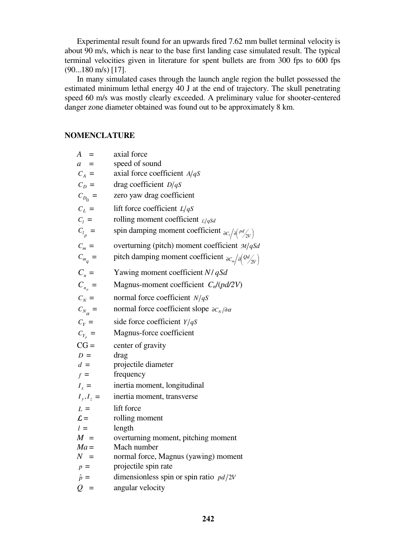Experimental result found for an upwards fired 7.62 mm bullet terminal velocity is about 90 m/s, which is near to the base first landing case simulated result. The typical terminal velocities given in literature for spent bullets are from 300 fps to 600 fps (90...180 m/s) [17].

In many simulated cases through the launch angle region the bullet possessed the estimated minimum lethal energy 40 J at the end of trajectory. The skull penetrating speed 60 m/s was mostly clearly exceeded. A preliminary value for shooter-centered danger zone diameter obtained was found out to be approximately 8 km.

# **NOMENCLATURE**

| $A =$              | axial force                                                                            |
|--------------------|----------------------------------------------------------------------------------------|
| $a =$              | speed of sound                                                                         |
| $C_A =$            | axial force coefficient $A/qS$                                                         |
| $C_D =$            | drag coefficient $D/qS$                                                                |
| $C_{D_0}$ =        | zero yaw drag coefficient                                                              |
| $C_L =$            | lift force coefficient $L/qS$                                                          |
| $C_l =$            | rolling moment coefficient $\mathcal{L}/qSd$                                           |
| $C_{l_p}$ =        | spin damping moment coefficient $\partial c_i / \partial \left( \frac{pd}{2V} \right)$ |
| $C_m =$            | overturning (pitch) moment coefficient $M/qSd$                                         |
| $C_{m_q} =$        | pitch damping moment coefficient $\frac{\partial C_m}{\partial \phi}$                  |
| $C_n =$            | Yawing moment coefficient $N/qSd$                                                      |
| $C_{n_p}$ =        | Magnus-moment coefficient $C_n/(pd/2V)$                                                |
| $C_N =$            | normal force coefficient $N/qS$                                                        |
| $C_{N_{\alpha}} =$ | normal force coefficient slope $\partial c_N/\partial \alpha$                          |
| $C_Y =$            | side force coefficient $Y/qS$                                                          |
| $C_{Y_p}$ =        | Magnus-force coefficient                                                               |
| $CG =$             | center of gravity                                                                      |
| $D =$              | drag                                                                                   |
| $d =$              | projectile diameter                                                                    |
| $f =$              | frequency                                                                              |
| $I_x =$            | inertia moment, longitudinal                                                           |
| $I_{y}, I_{z} =$   | inertia moment, transverse                                                             |
| $L =$              | lift force                                                                             |
| $\mathcal{L} =$    | rolling moment                                                                         |
| $l =$              | length                                                                                 |
| $M =$              | overturning moment, pitching moment                                                    |
| $Ma =$             | Mach number                                                                            |
| $N =$              | normal force, Magnus (yawing) moment                                                   |
| $p =$              | projectile spin rate                                                                   |
| $\hat{p} =$        | dimensionless spin or spin ratio $pd/2V$                                               |
| $Q =$              | angular velocity                                                                       |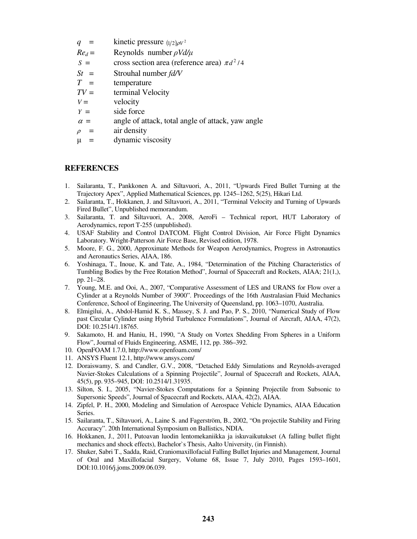- $q =$  kinetic pressure  $(1/2)\rho V^2$
- *Red* = Reynolds number ρ*Vd/*µ
- $S = \csc s \sec t$  area (reference area)  $\pi d^2/4$
- *St* = Strouhal number *fd/V*
- *T* = temperature
- $TV =$  terminal Velocity
- $V =$  velocity
- $Y =$  side force
- $\alpha$  = angle of attack, total angle of attack, yaw angle
- $\rho = \arctan \theta$
- $\mu$  = dynamic viscosity

# **REFERENCES**

- 1. Sailaranta, T., Pankkonen A. and Siltavuori, A., 2011, "Upwards Fired Bullet Turning at the Trajectory Apex", Applied Mathematical Sciences, pp. 1245–1262, 5(25), Hikari Ltd.
- 2. Sailaranta, T., Hokkanen, J. and Siltavuori, A., 2011, "Terminal Velocity and Turning of Upwards Fired Bullet", Unpublished memorandum.
- 3. Sailaranta, T. and Siltavuori, A., 2008, AeroFi Technical report, HUT Laboratory of Aerodynamics, report T-255 (unpublished).
- 4. USAF Stability and Control DATCOM. Flight Control Division, Air Force Flight Dynamics Laboratory. Wright-Patterson Air Force Base, Revised edition, 1978.
- 5. Moore, F. G., 2000, Approximate Methods for Weapon Aerodynamics, Progress in Astronautics and Aeronautics Series, AIAA, 186.
- 6. Yoshinaga, T., Inoue, K. and Tate, A., 1984, "Determination of the Pitching Characteristics of Tumbling Bodies by the Free Rotation Method", Journal of Spacecraft and Rockets, AIAA; 21(1,), pp. 21–28.
- 7. Young, M.E. and Ooi, A., 2007, "Comparative Assessment of LES and URANS for Flow over a Cylinder at a Reynolds Number of 3900". Proceedings of the 16th Australasian Fluid Mechanics Conference, School of Engineering, The University of Queensland, pp. 1063–1070, Australia.
- 8. Elmigilui, A., Abdol-Hamid K. S., Massey, S. J. and Pao, P. S., 2010, "Numerical Study of Flow past Circular Cylinder using Hybrid Turbulence Formulations", Journal of Aircraft, AIAA, 47(2), DOI: 10.2514/1.18765.
- 9. Sakamoto, H. and Haniu, H., 1990, "A Study on Vortex Shedding From Spheres in a Uniform Flow", Journal of Fluids Engineering, ASME, 112, pp. 386–392.
- 10. OpenFOAM 1.7.0, http://www.openfoam.com/
- 11. ANSYS Fluent 12.1, http://www.ansys.com/
- 12. Doraiswamy, S. and Candler, G.V., 2008, "Detached Eddy Simulations and Reynolds-averaged Navier-Stokes Calculations of a Spinning Projectile", Journal of Spacecraft and Rockets, AIAA, 45(5), pp. 935–945, DOI: 10.2514/1.31935.
- 13. Silton, S. I., 2005, "Navier-Stokes Computations for a Spinning Projectile from Subsonic to Supersonic Speeds", Journal of Spacecraft and Rockets, AIAA, 42(2), AIAA.
- 14. Zipfel, P. H., 2000, Modeling and Simulation of Aerospace Vehicle Dynamics, AIAA Education Series.
- 15. Sailaranta, T., Siltavuori, A., Laine S. and Fagerström, B., 2002, "On projectile Stability and Firing Accuracy". 20th International Symposium on Ballistics, NDIA.
- 16. Hokkanen, J., 2011, Putoavan luodin lentomekaniikka ja iskuvaikutukset (A falling bullet flight mechanics and shock effects), Bachelor`s Thesis, Aalto University, (in Finnish).
- 17. Shuker, Sabri T., Sadda, Raid, Craniomaxillofacial Falling Bullet Injuries and Management, Journal of Oral and Maxillofacial Surgery, Volume 68, Issue 7, July 2010, Pages 1593–1601, DOI:10.1016/j.joms.2009.06.039.